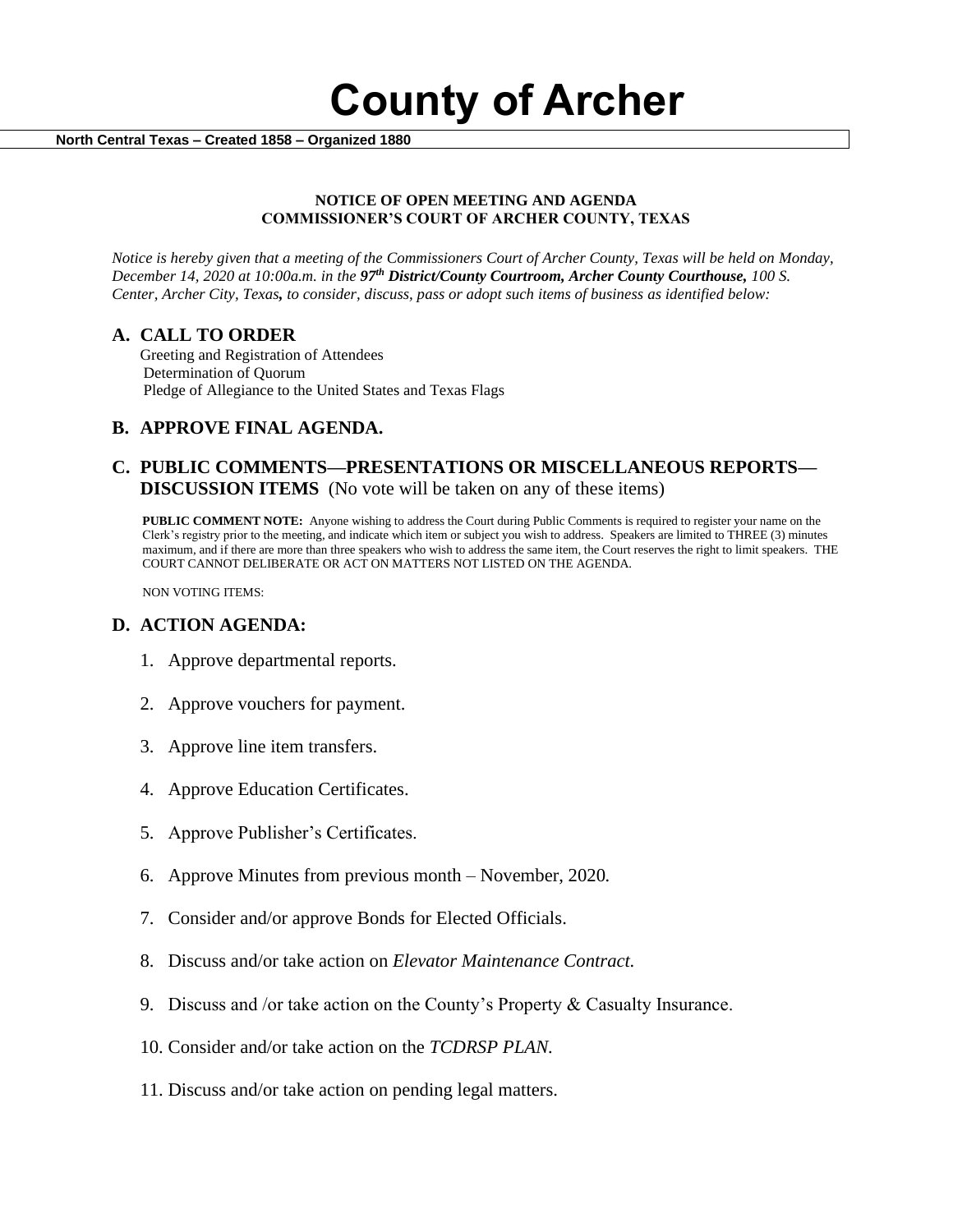**County of Archer** 

 **North Central Texas – Created 1858 – Organized 1880**

#### **NOTICE OF OPEN MEETING AND AGENDA COMMISSIONER'S COURT OF ARCHER COUNTY, TEXAS**

*Notice is hereby given that a meeting of the Commissioners Court of Archer County, Texas will be held on Monday, December 14, 2020 at 10:00a.m. in the 97th District/County Courtroom, Archer County Courthouse, 100 S. Center, Archer City, Texas, to consider, discuss, pass or adopt such items of business as identified below:*

#### **A. CALL TO ORDER**

 Greeting and Registration of Attendees Determination of Quorum Pledge of Allegiance to the United States and Texas Flags

# **B. APPROVE FINAL AGENDA.**

# **C. PUBLIC COMMENTS—PRESENTATIONS OR MISCELLANEOUS REPORTS— DISCUSSION ITEMS** (No vote will be taken on any of these items)

**PUBLIC COMMENT NOTE:** Anyone wishing to address the Court during Public Comments is required to register your name on the Clerk's registry prior to the meeting, and indicate which item or subject you wish to address. Speakers are limited to THREE (3) minutes maximum, and if there are more than three speakers who wish to address the same item, the Court reserves the right to limit speakers. THE COURT CANNOT DELIBERATE OR ACT ON MATTERS NOT LISTED ON THE AGENDA.

NON VOTING ITEMS:

### **D. ACTION AGENDA:**

- 1. Approve departmental reports.
- 2. Approve vouchers for payment.
- 3. Approve line item transfers.
- 4. Approve Education Certificates.
- 5. Approve Publisher's Certificates.
- 6. Approve Minutes from previous month November, 2020*.*
- 7. Consider and/or approve Bonds for Elected Officials.
- 8. Discuss and/or take action on *Elevator Maintenance Contract.*
- 9. Discuss and /or take action on the County's Property & Casualty Insurance.
- 10. Consider and/or take action on the *TCDRSP PLAN.*
- 11. Discuss and/or take action on pending legal matters.